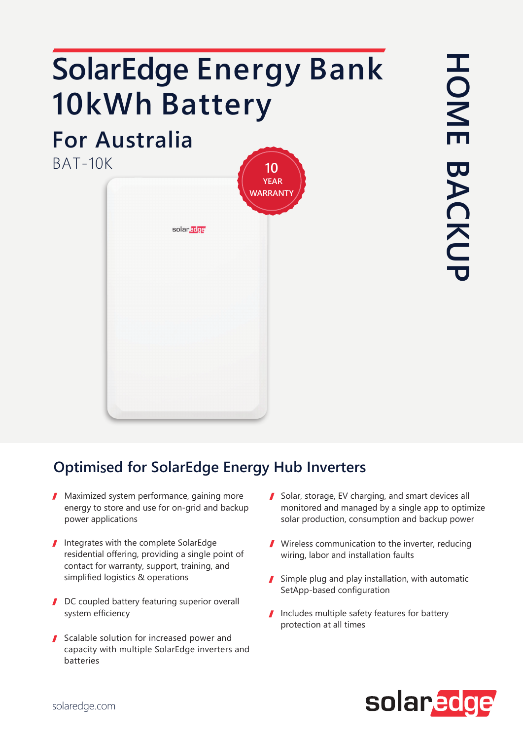# **SolarEdge Energy Bank 10kWh Battery**

## **For Australia**

BAT-10K



### **Optimi**s**ed for SolarEdge Energy Hub Inverters**

- **Maximized system performance, gaining more** energy to store and use for on-grid and backup power applications
- Integrates with the complete SolarEdge residential offering, providing a single point of contact for warranty, support, training, and simplified logistics & operations
- DC coupled battery featuring superior overall system efficiency
- Scalable solution for increased power and capacity with multiple SolarEdge inverters and batteries
- Solar, storage, EV charging, and smart devices all monitored and managed by a single app to optimize solar production, consumption and backup power
- Wireless communication to the inverter, reducing wiring, labor and installation faults
- $\blacksquare$  Simple plug and play installation, with automatic SetApp-based configuration
- Includes multiple safety features for battery protection at all times